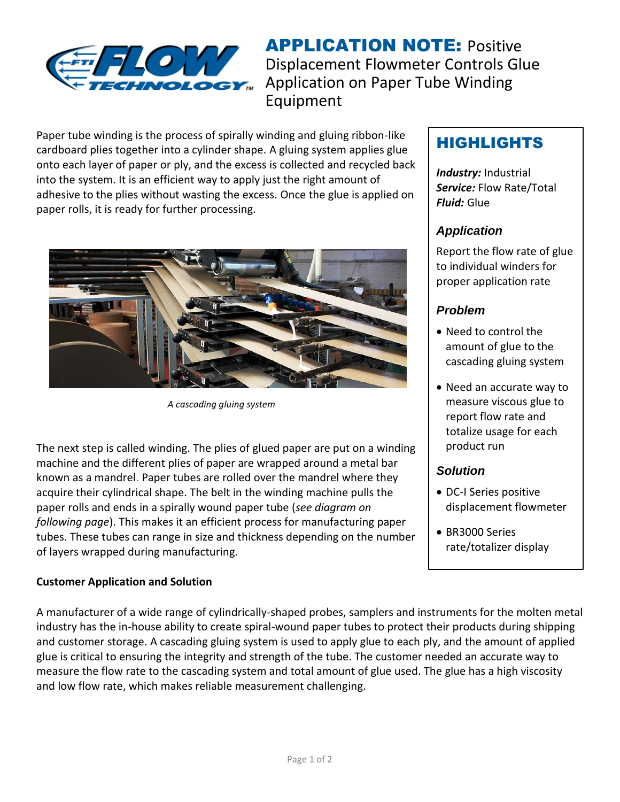

**APPLICATION NOTE: Positive** Displacement Flowmeter Controls Glue Application on Paper Tube Winding Equipment

Paper tube winding is the process of spirally winding and gluing ribbon-like cardboard plies together into a cylinder shape. A gluing system applies glue onto each layer of paper or ply, and the excess is collected and recycled back into the system. It is an efficient way to apply just the right amount of adhesive to the plies without wasting the excess. Once the glue is applied on paper rolls, it is ready for further processing.



*A cascading gluing system*

The next step is called winding. The plies of glued paper are put on a winding machine and the different plies of paper are wrapped around a metal bar known as a mandrel. Paper tubes are rolled over the mandrel where they acquire their cylindrical shape. The belt in the winding machine pulls the paper rolls and ends in a spirally wound paper tube (*see diagram on following page*). This makes it an efficient process for manufacturing paper tubes. These tubes can range in size and thickness depending on the number of layers wrapped during manufacturing.

#### **Customer Application and Solution**

# HIGHLIGHTS

*Industry:* Industrial *Service:* Flow Rate/Total *Fluid:* Glue

### *Application*

Report the flow rate of glue to individual winders for proper application rate

#### *Problem*

- Need to control the amount of glue to the cascading gluing system
- Need an accurate way to measure viscous glue to report flow rate and totalize usage for each product run

## *Solution*

- DC-I Series positive displacement flowmeter
- BR3000 Series rate/totalizer display

A manufacturer of a wide range of cylindrically-shaped probes, samplers and instruments for the molten metal industry has the in-house ability to create spiral-wound paper tubes to protect their products during shipping and customer storage. A cascading gluing system is used to apply glue to each ply, and the amount of applied glue is critical to ensuring the integrity and strength of the tube. The customer needed an accurate way to measure the flow rate to the cascading system and total amount of glue used. The glue has a high viscosity and low flow rate, which makes reliable measurement challenging.